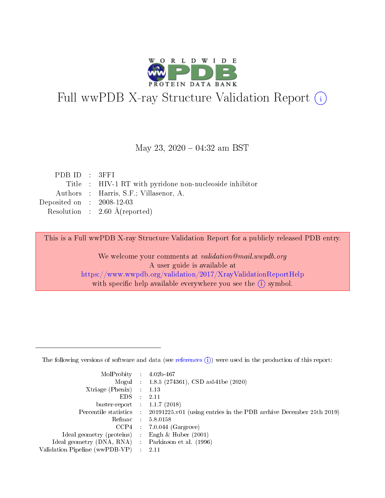

# Full wwPDB X-ray Structure Validation Report (i)

#### May 23, 2020 - 04:32 am BST

| PDBID : 3FFI                                            |
|---------------------------------------------------------|
| Title : HIV-1 RT with pyridone non-nucleoside inhibitor |
| Authors : Harris, S.F.; Villasenor, A.                  |
| Deposited on : $2008-12-03$                             |
| Resolution : $2.60 \text{ Å}$ (reported)                |
|                                                         |

This is a Full wwPDB X-ray Structure Validation Report for a publicly released PDB entry.

We welcome your comments at validation@mail.wwpdb.org A user guide is available at <https://www.wwpdb.org/validation/2017/XrayValidationReportHelp> with specific help available everywhere you see the  $(i)$  symbol.

The following versions of software and data (see [references](https://www.wwpdb.org/validation/2017/XrayValidationReportHelp#references)  $(1)$ ) were used in the production of this report:

| MolProbity :                   |               | $4.02b - 467$                                                               |
|--------------------------------|---------------|-----------------------------------------------------------------------------|
|                                |               | Mogul : $1.8.5$ (274361), CSD as 541be (2020)                               |
| $X$ triage (Phenix) :          |               | 1.13                                                                        |
| EDS.                           |               | 2.11                                                                        |
| buster-report : $1.1.7$ (2018) |               |                                                                             |
| Percentile statistics :        |               | $20191225 \text{v}01$ (using entries in the PDB archive December 25th 2019) |
| Refmac :                       |               | 5.8.0158                                                                    |
| $CCP4$ :                       |               | $7.0.044$ (Gargrove)                                                        |
| Ideal geometry (proteins) :    |               | Engh $\&$ Huber (2001)                                                      |
| Ideal geometry (DNA, RNA) :    |               | Parkinson et al. (1996)                                                     |
| Validation Pipeline (wwPDB-VP) | $\mathcal{L}$ | 2.11                                                                        |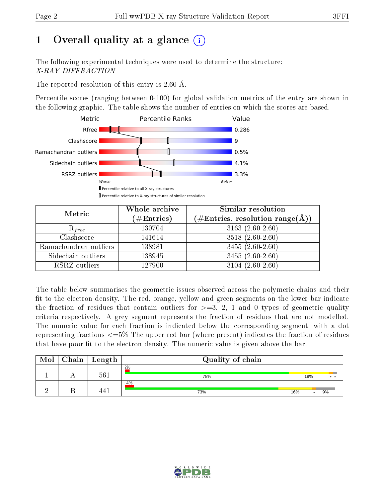# 1 [O](https://www.wwpdb.org/validation/2017/XrayValidationReportHelp#overall_quality)verall quality at a glance  $(i)$

The following experimental techniques were used to determine the structure: X-RAY DIFFRACTION

The reported resolution of this entry is 2.60 Å.

Percentile scores (ranging between 0-100) for global validation metrics of the entry are shown in the following graphic. The table shows the number of entries on which the scores are based.



| Metric                | Whole archive<br>$(\#\text{Entries})$ | Similar resolution<br>(#Entries, resolution range(Å)) |
|-----------------------|---------------------------------------|-------------------------------------------------------|
| $R_{free}$            | 130704                                | $3163(2.60-2.60)$                                     |
| Clashscore            | 141614                                | $3518(2.60-2.60)$                                     |
| Ramachandran outliers | 138981                                | $3455(2.60-2.60)$                                     |
| Sidechain outliers    | 138945                                | $\overline{3455}$ $(2.60-2.60)$                       |
| RSRZ outliers         | 127900                                | $3104(2.60-2.60)$                                     |

The table below summarises the geometric issues observed across the polymeric chains and their fit to the electron density. The red, orange, yellow and green segments on the lower bar indicate the fraction of residues that contain outliers for  $>=3, 2, 1$  and 0 types of geometric quality criteria respectively. A grey segment represents the fraction of residues that are not modelled. The numeric value for each fraction is indicated below the corresponding segment, with a dot representing fractions <=5% The upper red bar (where present) indicates the fraction of residues that have poor fit to the electron density. The numeric value is given above the bar.

| Mol | $Chain$ <sup>1</sup> | $\mathrel{\mathsf{L}}$ ength | Quality of chain |     |     |                      |
|-----|----------------------|------------------------------|------------------|-----|-----|----------------------|
|     |                      | 561                          | 2%<br>78%        |     | 19% | $\ddot{\phantom{a}}$ |
|     |                      | 441                          | 4%<br>73%        | 16% |     | 9%                   |

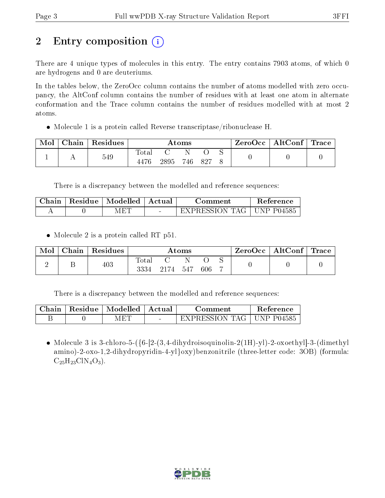# 2 Entry composition  $\left( \cdot \right)$

There are 4 unique types of molecules in this entry. The entry contains 7903 atoms, of which 0 are hydrogens and 0 are deuteriums.

In the tables below, the ZeroOcc column contains the number of atoms modelled with zero occupancy, the AltConf column contains the number of residues with at least one atom in alternate conformation and the Trace column contains the number of residues modelled with at most 2 atoms.

Molecule 1 is a protein called Reverse transcriptase/ribonuclease H.

| Mol | Chain | Residues | Atoms |      |  |         |  | $\text{ZeroOcc} \mid \text{AltConf} \mid \text{Trace}$ |  |
|-----|-------|----------|-------|------|--|---------|--|--------------------------------------------------------|--|
|     |       | 549      | Total |      |  |         |  |                                                        |  |
|     |       |          | 4476  | 2895 |  | 746 827 |  |                                                        |  |

There is a discrepancy between the modelled and reference sequences:

| Chain | Residue | $\mid$ Modelled $\mid$ | ' Actual | Jomment.       | Keference          |
|-------|---------|------------------------|----------|----------------|--------------------|
|       |         | F.                     |          | EXPRESSION TAG | JNP P04585<br>- 11 |

• Molecule 2 is a protein called RT p51.

| Mol | Chain | $\perp$ Residues | Atoms                    |        |       |     |  | $\text{ZeroOcc} \mid \text{AltConf} \mid \text{Trace}$ |  |
|-----|-------|------------------|--------------------------|--------|-------|-----|--|--------------------------------------------------------|--|
|     |       | 403              | $\mathrm{Total}$<br>3334 | - 2174 | - 547 | 606 |  |                                                        |  |

There is a discrepancy between the modelled and reference sequences:

| Chain | Residue | $\mid$ Modelled | Actual | Comment                | Reference  |  |
|-------|---------|-----------------|--------|------------------------|------------|--|
|       |         | 4 F.U           | $\sim$ | $\neg$ xpression tages | JNP P04585 |  |

• Molecule 3 is 3-chloro-5- $({6-}2-3.4-di$ hydroisoquinolin-2(1H)-yl)-2-oxoethyl]-3-(dimethyl amino)-2-oxo-1,2-dihydropyridin-4-yl}oxy)benzonitrile (three-letter code: 3OB) (formula:  $C_{25}H_{23}C1N_4O_3$ .

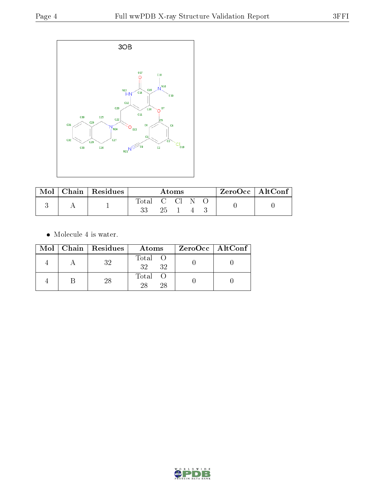

| Mol . | $\mid$ Chain $\mid$ Residues | Atoms        |     |  |  | ZeroOcc   AltConf |  |  |
|-------|------------------------------|--------------|-----|--|--|-------------------|--|--|
|       |                              | Total C Cl N |     |  |  |                   |  |  |
|       |                              |              | 25. |  |  |                   |  |  |

 $\bullet\,$  Molecule 4 is water.

|  | Mol   Chain   Residues | Atoms               | $ZeroOcc \   \$ AltConf |
|--|------------------------|---------------------|-------------------------|
|  | 32                     | Total O<br>32<br>32 |                         |
|  | -28                    | Total O<br>28<br>28 |                         |

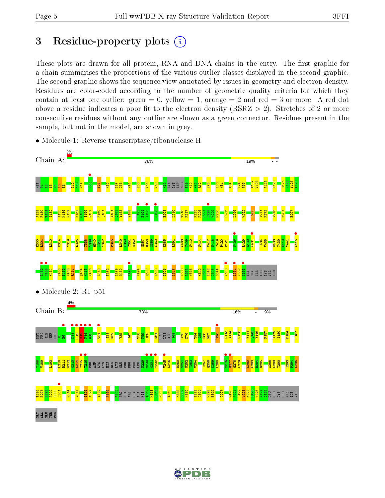## 3 Residue-property plots  $(i)$

These plots are drawn for all protein, RNA and DNA chains in the entry. The first graphic for a chain summarises the proportions of the various outlier classes displayed in the second graphic. The second graphic shows the sequence view annotated by issues in geometry and electron density. Residues are color-coded according to the number of geometric quality criteria for which they contain at least one outlier: green  $= 0$ , yellow  $= 1$ , orange  $= 2$  and red  $= 3$  or more. A red dot above a residue indicates a poor fit to the electron density (RSRZ  $> 2$ ). Stretches of 2 or more consecutive residues without any outlier are shown as a green connector. Residues present in the sample, but not in the model, are shown in grey.



• Molecule 1: Reverse transcriptase/ribonuclease H

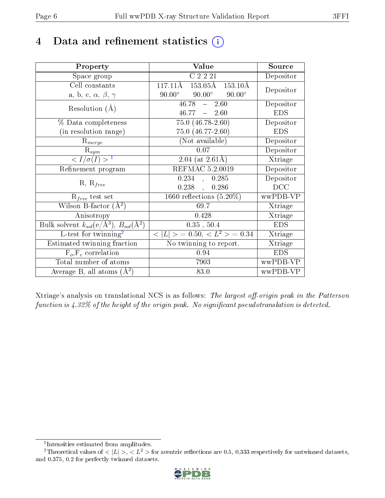## 4 Data and refinement statistics  $(i)$

| Property                                                         | Value                                               | Source     |
|------------------------------------------------------------------|-----------------------------------------------------|------------|
| Space group                                                      | C2221                                               | Depositor  |
| Cell constants                                                   | $153.05\text{\AA}$<br>117.11Å<br>$153.10\text{\AA}$ | Depositor  |
| a, b, c, $\alpha$ , $\beta$ , $\gamma$                           | $90.00^\circ$<br>$90.00^\circ$<br>$90.00^\circ$     |            |
| Resolution $(A)$                                                 | $46.78 - 2.60$                                      | Depositor  |
|                                                                  | $46.77 - 2.60$                                      | <b>EDS</b> |
| % Data completeness                                              | $75.0(46.78-2.60)$                                  | Depositor  |
| (in resolution range)                                            | $75.0$ $(46.77 - 2.60)$                             | <b>EDS</b> |
| $R_{merge}$                                                      | (Not available)                                     | Depositor  |
| $\mathrm{R}_{sym}$                                               | 0.07                                                | Depositor  |
| $\langle I/\sigma(I) \rangle^{-1}$                               | 2.04 (at $2.61\text{\AA}$ )                         | Xtriage    |
| Refinement program                                               | REFMAC 5.2.0019                                     | Depositor  |
| $R, R_{free}$                                                    | 0.234<br>0.285<br>$\overline{1}$                    | Depositor  |
|                                                                  | $0.238$ ,<br>0.286                                  | DCC        |
| $R_{free}$ test set                                              | 1660 reflections $(5.20\%)$                         | wwPDB-VP   |
| Wilson B-factor $(A^2)$                                          | 69.7                                                | Xtriage    |
| Anisotropy                                                       | 0.428                                               | Xtriage    |
| Bulk solvent $k_{sol}(\text{e}/\text{A}^3), B_{sol}(\text{A}^2)$ | 0.35, 50.4                                          | <b>EDS</b> |
| $L$ -test for twinning <sup>2</sup>                              | $< L >$ = 0.50, $< L2$ > = 0.34                     | Xtriage    |
| Estimated twinning fraction                                      | $\overline{\text{No}}$ twinning to report.          | Xtriage    |
| $F_o, F_c$ correlation                                           | 0.94                                                | <b>EDS</b> |
| Total number of atoms                                            | 7903                                                | wwPDB-VP   |
| Average B, all atoms $(A^2)$                                     | 83.0                                                | wwPDB-VP   |

Xtriage's analysis on translational NCS is as follows: The largest off-origin peak in the Patterson function is  $4.32\%$  of the height of the origin peak. No significant pseudotranslation is detected.

<sup>&</sup>lt;sup>2</sup>Theoretical values of  $\langle |L| \rangle$ ,  $\langle L^2 \rangle$  for acentric reflections are 0.5, 0.333 respectively for untwinned datasets, and 0.375, 0.2 for perfectly twinned datasets.



<span id="page-5-1"></span><span id="page-5-0"></span><sup>1</sup> Intensities estimated from amplitudes.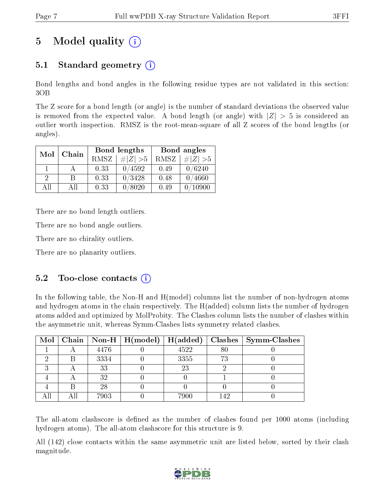# 5 Model quality  $(i)$

## 5.1 Standard geometry  $(i)$

Bond lengths and bond angles in the following residue types are not validated in this section: 3OB

The Z score for a bond length (or angle) is the number of standard deviations the observed value is removed from the expected value. A bond length (or angle) with  $|Z| > 5$  is considered an outlier worth inspection. RMSZ is the root-mean-square of all Z scores of the bond lengths (or angles).

| Mol      | Chain |      | Bond lengths | Bond angles |             |  |
|----------|-------|------|--------------|-------------|-------------|--|
|          |       | RMSZ | $\# Z  > 5$  | RMSZ        | $\# Z  > 5$ |  |
|          |       | 0.33 | 0/4592       | 0.49        | 0/6240      |  |
| $\Omega$ | В     | 0.33 | 0/3428       | 0.48        | 0/4660      |  |
| AΠ       | All   | 0.33 | 0/8020       | 0.49        | 10900       |  |

There are no bond length outliers.

There are no bond angle outliers.

There are no chirality outliers.

There are no planarity outliers.

### $5.2$  Too-close contacts  $(i)$

In the following table, the Non-H and H(model) columns list the number of non-hydrogen atoms and hydrogen atoms in the chain respectively. The H(added) column lists the number of hydrogen atoms added and optimized by MolProbity. The Clashes column lists the number of clashes within the asymmetric unit, whereas Symm-Clashes lists symmetry related clashes.

|   |      | Mol   Chain   Non-H   H(model)   H(added) |     | Clashes   Symm-Clashes |
|---|------|-------------------------------------------|-----|------------------------|
|   | 4476 | 4522                                      | 80  |                        |
|   | 3334 | 3355                                      | 73  |                        |
| ച | 33   | 23                                        |     |                        |
|   | 32   |                                           |     |                        |
|   | 28   |                                           |     |                        |
|   | 7903 | 7900                                      | 142 |                        |

The all-atom clashscore is defined as the number of clashes found per 1000 atoms (including hydrogen atoms). The all-atom clashscore for this structure is 9.

All (142) close contacts within the same asymmetric unit are listed below, sorted by their clash magnitude.

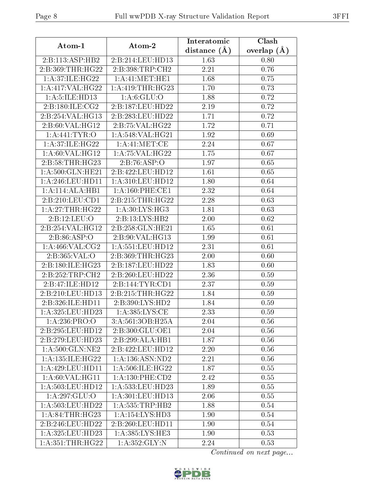| Atom-1               | Atom-2                       | Interatomic    | Clash         |  |
|----------------------|------------------------------|----------------|---------------|--|
|                      |                              | distance $(A)$ | overlap $(A)$ |  |
| 2:B:113:ASP:HB2      | 2:B:214:LEU:HD13             | 1.63           | 0.80          |  |
| 2:B:369:THR:HG22     | 2:B:398:TRP:CH2              | 2.21           | 0.76          |  |
| 1: A:37: ILE: HG22   | 1: A: 41: MET: HE1           | 1.68           | 0.75          |  |
| 1:A:417:VAL:HG22     | 1: A:419: THR: HG23          | 1.70           | 0.73          |  |
| 1: A: 5: ILE: HD13   | 1: A:6: GLU:O                | 1.88           | 0.72          |  |
| 2:B:180:ILE:CG2      | 2:B:187:LEU:HD22             | 2.19           | 0.72          |  |
| 2:B:254:VAL:HG13     | 2:B:283:LEU:HD22             | 1.71           | 0.72          |  |
| 2:B:60:VAL:HG12      | $2:B:75:VAL:H\overline{G22}$ | 1.72           | 0.71          |  |
| 1: A:441: TYR:O      | 1: A:548: VAL:HG21           | 1.92           | 0.69          |  |
| 1: A:37: ILE: HG22   | 1:A:41:MET:CE                | 2.24           | 0.67          |  |
| 1: A:60: VAL: HG12   | 1: A:75: VAL:HG22            | 1.75           | 0.67          |  |
| 2:B:58:THR:HG23      | 2:B:76:ASP:O                 | 1.97           | 0.65          |  |
| 1: A:500: GLN: HE21  | 2:B:422:LEU:HD12             | 1.61           | 0.65          |  |
| 1: A:246:LEU:HD11    | 1: A:310: LEU: HD12          | 1.80           | 0.64          |  |
| 1:A:114:ALA:HB1      | 1: A:160: PHE:CE1            | 2.32           | 0.64          |  |
| 2:B:210:LEU:CD1      | 2:B:215:THR:HG22             | 2.28           | 0.63          |  |
| 1:A:27:THR:HG22      | 1:A:30:LYS:HG3               | 1.81           | 0.63          |  |
| 2:B:12:LEU:O         | 2:B:13:LYS:HB2               | 2.00           | 0.62          |  |
| 2:B:254:VAL:HG12     | 2:B:258:GLN:HE21             | 1.65           | 0.61          |  |
| 2: B:86: ASP:O       | 2:B:90:VAL:HG13              | 1.99           | 0.61          |  |
| 1: A:466: VAL: CG2   | 1:A:551:LEU:HD12             | 2.31           | 0.61          |  |
| 2:B:365:VAL:O        | 2:B:369:THR:HG23             | 2.00           | 0.60          |  |
| 2:B:180:ILE:HG23     | 2:B:187:LEU:HD22             | 1.83           | 0.60          |  |
| 2:B:252:TRP:CH2      | 2:B:260:LEU:HD22             | 2.36           | 0.59          |  |
| 2:B:47:ILE:HD12      | 2:B:144:TYR:CD1              | 2.37           | 0.59          |  |
| 2:B:210:LEU:HD13     | 2: B:215: THR: HG22          | 1.84           | 0.59          |  |
| 2:B:326:ILE:HD11     | 2:B:390:LYS:HD2              | 1.84           | 0.59          |  |
| 1:A:325:LEU:HD23     | 1: A:385:LYS:CE              | 2.33           | 0.59          |  |
| 1:A:236:PRO:O        | 3:A:561:3OB:H25A             | 2.04           | 0.56          |  |
| 2:B:295:LEU:HD12     | 2:B:300:GLU:OE1              | 2.04           | 0.56          |  |
| 2:B:279:LEU:HD23     | 2:B:299:ALA:HB1              | 1.87           | 0.56          |  |
| 1: A:500: GLN: NE2   | 2:B:422:LEU:HD12             | 2.20           | 0.56          |  |
| 1: A: 135: ILE: HG22 | 1: A: 136: ASN: ND2          | 2.21           | 0.56          |  |
| 1: A:429: LEU: HD11  | 1: A:506: ILE: HG22          | 1.87           | 0.55          |  |
| 1: A:60: VAL:HGI1    | 1: A: 130: PHE: CD2          | 2.42           | 0.55          |  |
| 1: A:503:LEU:HD12    | 1:A:533:LEU:HD23             | 1.89           | 0.55          |  |
| 1:A:297:GLU:O        | 1:A:301:LEU:HD13             | 2.06           | 0.55          |  |
| 1:A:503:LEU:HD22     | 1: A: 535: TRP: HB2          | 1.88           | 0.54          |  |
| 1: A:84:THR:HG23     | $1:A:154:LY\overline{S:HD3}$ | 1.90           | 0.54          |  |
| 2:B:246:LEU:HD22     | 2:B:260:LEU:HD11             | 1.90           | $0.54\,$      |  |
| 1: A:325: LEU: HD23  | 1:A:385:LYS:HE3              | 1.90           | 0.53          |  |
| 1:A:351:THR:HG22     | 1:A:352:GLY:N                | 2.24           | 0.53          |  |

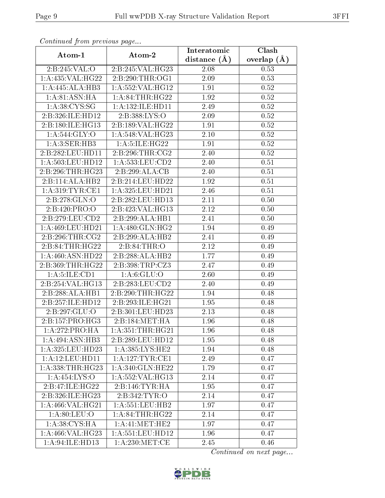| Communaca from previous page  |                              | Interatomic      | Clash           |  |
|-------------------------------|------------------------------|------------------|-----------------|--|
| Atom-1                        | Atom-2                       | distance $(\AA)$ | overlap $(\AA)$ |  |
| 2:B:245:VAL:O                 | 2:B:245:VAL:HG23             | 2.08             | 0.53            |  |
| 1:A:435:VAL:HG22              | 2:B:290:THR:OG1              | 2.09             | 0.53            |  |
| 1:A:445:ALA:HB3               | 1:A:552:VAL:HG12             | 1.91             | 0.52            |  |
| 1: A:81: ASN: HA              | 1: A:84:THR:HG22             | 1.92             | 0.52            |  |
| 1: A:38: CYS:SG               | 1: A: 132: ILE: HD11         | 2.49             | 0.52            |  |
| 2:B:326:ILE:HD12              | 2:B:388:LYS:O                | 2.09             | 0.52            |  |
| 2:B:180:ILE:HG13              | 2:B:189:VAL:HG22             | 1.91             | $0.52\,$        |  |
| 1: A:544: GLY:O               | 1: A:548: VAL:HG23           | 2.10             | 0.52            |  |
| 1: A:3: SER:HB3               | 1:A:5:ILE:HG22               | 1.91             | $0.52\,$        |  |
| 2:B:282:LEU:HD11              | 2: B:296: THR:CG2            | 2.40             | 0.52            |  |
| 1: A:503:LEU:HD12             | 1: A: 533: LEU: CD2          | 2.40             | 0.51            |  |
| 2:B:296:THR:HG23              | 2:B:299:ALA:CB               | 2.40             | 0.51            |  |
| 2:B:114:ALA:HB2               | 2:B:214:LEU:HD22             | 1.92             | 0.51            |  |
| 1: A:319: TYR: CE1            | 1:A:325:LEU:HD21             | 2.46             | 0.51            |  |
| 2:B:278:GLN:O                 | 2:B:282:LEU:HD13             | 2.11             | 0.50            |  |
| 2:B:420:PRO:O                 | 2:B:423:VAL:HG13             | 2.12             | 0.50            |  |
| 2:B:279:LEU:CD2               | 2:B:299:ALA:HB1              | 2.41             | 0.50            |  |
| 1:A:469:LEU:HD21              | $1:A:480:GLN:H\overline{G2}$ | 1.94             | 0.49            |  |
| 2:B:296:THR:CG2               | 2:B:299:ALA:HB2              | 2.41             | 0.49            |  |
| 2:B:84:THR:HG22               | 2: B:84:THR:O                | 2.12             | 0.49            |  |
| 1:A:460:ASN:HD22              | 2:B:288:ALA:HB2              | 1.77             | 0.49            |  |
| 2:B:369:THR:HG22              | 2:B:398:TRP:CZ3              | 2.47             | 0.49            |  |
| 1: A: 5: ILE: CD1             | 1: A:6: GLU:O                | 2.60             | 0.49            |  |
| 2:B:254:VAL:HG13              | 2: B: 283: LEU: CD2          | 2.40             | 0.49            |  |
| 2:B:288:ALA:HB1               | 2:B:290:THR:HG22             | 1.94             | 0.48            |  |
| 2:B:257:ILE:HD12              | 2:B:293:ILE:HG21             | 1.95             | 0.48            |  |
| 2:B:297:GLU:O                 | 2:B:301:LEU:HD23             | 2.13             | 0.48            |  |
| $2:B:157:PRO: \overline{HG3}$ | 2:B:184:MET:HA               | 1.96             | 0.48            |  |
| 1:A:272:PRO:HA                | 1: A: 351:THR: HG21          | 1.96             | 0.48            |  |
| 1:A:494:ASN:HB3               | 2:B:289:LEU:HD12             | 1.95             | 0.48            |  |
| 1: A:325:LEU:HD23             | 1: A: 385: LYS: HE2          | 1.94             | 0.48            |  |
| 1: A: 12: LEU: HD11           | 1: A: 127: TYR: CE1          | 2.49             | 0.47            |  |
| 1: A: 338: THR: HG23          | 1:A:340:GLN:HE22             | 1.79             | 0.47            |  |
| 1:A:454:LYS:O                 | 1:A:552:VAL:HG13             | 2.14             | 0.47            |  |
| 2:B:47:ILE:HG22               | $2:B:146:TYR:H$ A            | 1.95             | 0.47            |  |
| 2:B:326:ILE:HG23              | 2:B:342:TYR:O                | 2.14             | 0.47            |  |
| 1: A:466: VAL:HG21            | 1: A: 551: LEU: HB2          | 1.97             | 0.47            |  |
| 1: A:80: LEU:O                | 1: A:84:THR:HG22             | 2.14             | 0.47            |  |
| 1: A:38: CYS:HA               | 1: A: 41: MET: HE2           | 1.97             | 0.47            |  |
| 1:A:466:VAL:HG23              | 1:A:551:LEU:HD12             | 1.96             | 0.47            |  |
| 1:A:94:ILE:HD13               | 1: A:230:MET:CE              | 2.45             | 0.46            |  |

Continued from previous page.

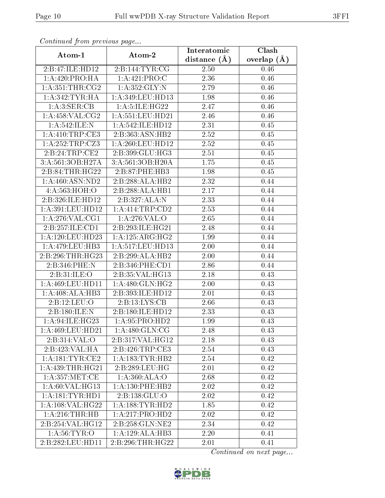| Comunaca jiom previous page |                      | Interatomic       | Clash           |  |
|-----------------------------|----------------------|-------------------|-----------------|--|
| Atom-1                      | Atom-2               | distance $(A)$    | overlap $(\AA)$ |  |
| 2:B:47:ILE:HD12             | 2:B:144:TYR:CG       | 2.50              | 0.46            |  |
| 1: A:420: PRO:HA            | 1: A:421: PRO:C      | $\overline{2}.36$ | 0.46            |  |
| 1: A:351:THR:CG2            | 1: A: 352: GLY:N     | 2.79              | 0.46            |  |
| 1: A:342:TYR:HA             | 1:A:349:LEU:HD13     | 1.98              | 0.46            |  |
| 1: A:3: SER:CB              | 1: A:5: ILE: HG22    | 2.47              | 0.46            |  |
| 1: A:458: VAL: CG2          | 1: A: 551: LEU: HD21 | 2.46              | 0.46            |  |
| 1: A:542: ILE:N             | 1:A:542:ILE:HD12     | 2.31              | 0.45            |  |
| 1: A:410:TRP:CE3            | 2:B:363:ASN:HB2      | 2.52              | 0.45            |  |
| 1:A:252:TRP:CZ3             | $1:$ A:260:LEU:HD12  | 2.52              | 0.45            |  |
| 2:B:24:TRP:CE2              | 2:B:399:GLU:HG3      | 2.51              | 0.45            |  |
| 3:A:561:3OB:H27A            | 3:A:561:3OB:H20A     | 1.75              | 0.45            |  |
| 2:B:84:THR:HG22             | 2:B:87:PHE:HB3       | 1.98              | 0.45            |  |
| 1: A:460:ASN:ND2            | 2:B:288:ALA:HB2      | 2.32              | 0.44            |  |
| 4:A:563:HOH:O               | 2:B:288:ALA:HB1      | 2.17              | 0.44            |  |
| 2:B:326:ILE:HD12            | 2:B:327:ALA:N        | 2.33              | 0.44            |  |
| 1:A:391:LEU:HD12            | 1:A:414:TRP:CD2      | 2.53              | 0.44            |  |
| 1: A:276: VAL:CG1           | 1:A:276:VAL:O        | 2.65              | 0.44            |  |
| 2:B:257:ILE:CD1             | 2:B:293:ILE:HG21     | 2.48              | 0.44            |  |
| 1:A:120:LEU:HD23            | 1: A:125: ARG:HG2    | 1.99              | 0.44            |  |
| 1:A:479:LEU:HB3             | 1:A:517:LEU:HD13     | 2.00              | 0.44            |  |
| 2:B:296:THR:HG23            | 2:B:299:ALA:HB2      | 2.00              | 0.44            |  |
| 2:B:346:PHE:N               | 2:B:346:PHE:CD1      | 2.86              | 0.44            |  |
| 2:B:31:ILE:O                | 2:B:35:VAL:HG13      | 2.18              | 0.43            |  |
| 1: A:469: LEU: HD11         | 1: A:480: GLN: HG2   | 2.00              | 0.43            |  |
| 1:A:408:ALA:HB3             | 2:B:393:ILE:HD12     | 2.01              | 0.43            |  |
| 2:B:12:LEU:O                | 2:B:13:LYS:CB        | 2.66              | 0.43            |  |
| 2:B:180:ILE:N               | 2:B:180:ILE:HD12     | 2.33              | 0.43            |  |
| 1: A:94: ILE: HG23          | 1: A:95: PRO:HD2     | 1.99              | 0.43            |  |
| 1:A:469:LEU:HD21            | 1: A:480: GLN:CG     | 2.48              | 0.43            |  |
| 2:B:314:VAL:O               | 2:B:317:VAL:HG12     | 2.18              | 0.43            |  |
| 2:B:423:VAL:HA              | 2:B:426:TRP:CE3      | 2.54              | 0.43            |  |
| 1: A:181:TYR:CE2            | 1:A:183:TYR:HB2      | 2.54              | 0.42            |  |
| 1: A: 439: THR: HG21        | 2:B:289:LEU:HG       | 2.01              | 0.42            |  |
| 1: A:357: MET:CE            | 1: A:360:ALA:O       | 2.68              | 0.42            |  |
| 1: A:60: VAL: HG13          | 1:A:130:PHE:HB2      | 2.02              | 0.42            |  |
| 1:A:181:TYR:HD1             | 2:B:138:GLU:O        | 2.02              | 0.42            |  |
| 1: A:108: VAL:HG22          | 1: A: 188: TYR: HD2  | 1.85              | 0.42            |  |
| 1:A:216:THR:HB              | 1:A:217:PRO:HD2      | 2.02              | 0.42            |  |
| 2:B:254:VAL:HG12            | 2:B:258:GLN:NE2      | 2.34              | 0.42            |  |
| 1: A:56: TYR:O              | 1:A:129:ALA:HB3      | 2.20              | 0.41            |  |
| 2:B:282:LEU:HD11            | 2:B:296:THR:HG22     | 2.01              | 0.41            |  |

Continued from previous page.

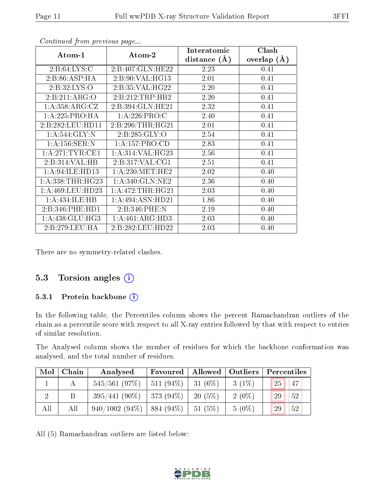| Atom-1               | Atom-2              | Interatomic<br>distance $(\AA)$ | Clash<br>overlap $(\AA)$ |
|----------------------|---------------------|---------------------------------|--------------------------|
|                      |                     |                                 |                          |
| 2: B:64: LYS:C       | 2:B:407:GLN:HE22    | 2.23                            | 0.41                     |
| 2:B:86:ASP:HA        | 2:B:90:VAL:HG13     | 2.01                            | 0.41                     |
| 2: B:32: LYS:O       | 2:B:35:VAL:HG22     | 2.20                            | 0.41                     |
| 2:B:211:ARG:O        | 2:B:212:TRP:HB2     | 2.20                            | 0.41                     |
| 1: A: 358: ARG: CZ   | 2:B:394:GLN:HE21    | 2.32                            | 0.41                     |
| 1: A:225: PRO:HA     | 1: A:226: PRO:C     | 2.40                            | 0.41                     |
| 2:B:282:LEU:HD11     | 2:B:296:THR:HG21    | 2.01                            | 0.41                     |
| 1: A:544: GLY:N      | 2:B:285:GLY:O       | 2.54                            | 0.41                     |
| 1: A: 156: SER: N    | 1:A:157:PRO:CD      | 2.83                            | 0.41                     |
| 1: A:271:TYR:CE1     | 1: A:314: VAL: HG23 | 2.56                            | 0.41                     |
| 2:B:314:VAL:HB       | 2:B:317:VAL:CG1     | 2.51                            | 0.41                     |
| 1: A:94: ILE: HD13   | 1: A:230:MET:HE2    | 2.02                            | 0.40                     |
| 1: A: 338: THR: HG23 | 1: A:340: GLN:NE2   | 2.36                            | 0.40                     |
| 1: A:469:LEU:HD23    | 1:A:472:THR:HG21    | 2.03                            | 0.40                     |
| 1:A:434:ILE:HB       | 1:A:494:ASN:HD21    | 1.86                            | 0.40                     |
| 2:B:346:PHE:HD1      | 2:B:346:PHE:N       | 2.19                            | 0.40                     |
| 1:A:438:GLU:HG3      | 1:A:461:ARG:HD3     | 2.03                            | 0.40                     |
| 2:B:279:LEU:HA       | 2:B:282:LEU:HD22    | 2.03                            | 0.40                     |

Continued from previous page...

There are no symmetry-related clashes.

#### 5.3 Torsion angles  $(i)$

#### 5.3.1 Protein backbone (i)

In the following table, the Percentiles column shows the percent Ramachandran outliers of the chain as a percentile score with respect to all X-ray entries followed by that with respect to entries of similar resolution.

The Analysed column shows the number of residues for which the backbone conformation was analysed, and the total number of residues.

| Mol | Chain | Analysed                    | Favoured   Allowed   Outliers |        |          | Percentiles |
|-----|-------|-----------------------------|-------------------------------|--------|----------|-------------|
|     | А     | $545/561$ (97\%)            | $511 (94\%)$ 31 (6\%)         |        | $3(1\%)$ | 25<br>47    |
|     | Β     | $395/441(90\%)$             | 373 (94%)                     | 20(5%) | $2(0\%)$ | 29<br>$-52$ |
| All | All   | $940/1002(94\%)$ 884 (94\%) |                               | 51(5%) | $5(0\%)$ | 29<br>$-52$ |

All (5) Ramachandran outliers are listed below:

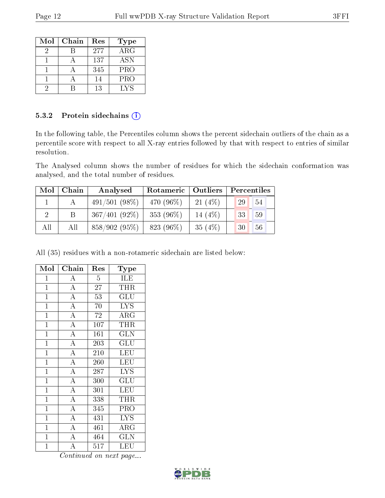| Mol | Chain | Res | <b>Type</b> |
|-----|-------|-----|-------------|
|     |       | 277 | $\rm{ARG}$  |
|     |       | 137 | <b>ASN</b>  |
|     |       | 345 | <b>PRO</b>  |
|     |       | 14  | <b>PRO</b>  |
|     |       | 13  | LYS         |

#### 5.3.2 Protein sidechains (i)

In the following table, the Percentiles column shows the percent sidechain outliers of the chain as a percentile score with respect to all X-ray entries followed by that with respect to entries of similar resolution.

The Analysed column shows the number of residues for which the sidechain conformation was analysed, and the total number of residues.

| Mol            | Chain | Analysed        | Outliers<br>Rotameric |           | Percentiles |    |  |
|----------------|-------|-----------------|-----------------------|-----------|-------------|----|--|
|                |       | $491/501(98\%)$ | 470 (96\%)            | 21(4%)    | 29          | 54 |  |
| $\overline{2}$ |       | $367/401(92\%)$ | 353 $(96\%)$          | 14 (4\%)  | 33<br>59    |    |  |
| All            | All   | $858/902(95\%)$ | 823 (96\%)            | 35 $(4%)$ | 30          | 56 |  |

All (35) residues with a non-rotameric sidechain are listed below:

| Mol            | Chain                          | Res              | Type                       |
|----------------|--------------------------------|------------------|----------------------------|
| $\mathbf{1}$   | $\boldsymbol{A}$               | $\overline{5}$   | ILE                        |
| $\mathbf{1}$   | $\overline{A}$                 | 27               | <b>THR</b>                 |
| $\mathbf{1}$   | $\overline{A}$                 | 53               | $\overline{\mathrm{GLU}}$  |
| $\mathbf{1}$   | $\overline{\rm A}$             | 70               | L <sub>Y</sub>             |
| $\mathbf{1}$   | $\overline{\rm A}$             | 72               | $\overline{\rm A}{\rm RG}$ |
| $\mathbf{1}$   | $\overline{\rm A}$             | 107              | THR                        |
| $\overline{1}$ | $\overline{A}$                 | 161              | $\overline{\text{GLN}}$    |
| $\mathbf{1}$   | $\overline{A}$                 | 203              | $\overline{\text{GLU}}$    |
| $\mathbf{1}$   | $\overline{A}$                 | 210              | LEU                        |
| $\mathbf{1}$   | $\overline{A}$                 | 260              | LEU                        |
| $\mathbf{1}$   | $\overline{A}$                 | 287              | <b>LYS</b>                 |
| $\mathbf{1}$   | $\overline{A}$                 | 300              | GLU                        |
| $\overline{1}$ | $\overline{A}$                 | 301              | <b>LEU</b>                 |
| $\overline{1}$ | $\overline{\overline{\rm{A}}}$ | 338              | <b>THR</b>                 |
| $\mathbf{1}$   | $\overline{A}$                 | $\overline{3}45$ | PRO                        |
| $\mathbf{1}$   | $\overline{A}$                 | 431              | $\overline{\text{LYS}}$    |
| $\mathbf{1}$   | $\overline{A}$                 | 461              | $\rm{ARG}$                 |
| $\mathbf{1}$   | $\overline{A}$                 | 464              | <b>GLN</b>                 |
| $\mathbf{1}$   | $\overline{\rm A}$             | 517              | LEU                        |

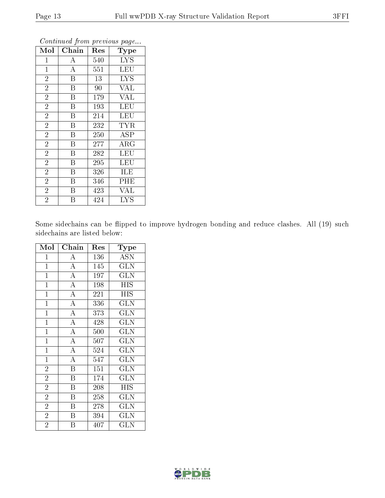| Mol            | Chain                   | Res               | <b>Type</b> |
|----------------|-------------------------|-------------------|-------------|
| 1              | А                       | 540               | <b>LYS</b>  |
| $\mathbf{1}$   | $\bf{A}$                | 551               | <b>LEU</b>  |
| $\overline{2}$ | $\overline{B}$          | 13                | <b>LYS</b>  |
| $\overline{2}$ | B                       | 90                | <b>VAL</b>  |
| $\overline{2}$ | $\boldsymbol{B}$        | $\overline{1}$ 79 | <b>VAL</b>  |
| $\overline{2}$ | B                       | 193               | LEU         |
| $\overline{2}$ | B                       | 214               | <b>LEU</b>  |
| $\overline{2}$ | $\overline{\mathbf{B}}$ | 232               | <b>TYR</b>  |
| $\overline{2}$ | B                       | 250               | <b>ASP</b>  |
| $\overline{2}$ | B                       | 277               | ${\rm ARG}$ |
| $\overline{2}$ | $\boldsymbol{B}$        | 282               | <b>LEU</b>  |
| $\overline{2}$ | $\overline{\mathrm{B}}$ | 295               | LEU         |
| $\overline{2}$ | B                       | 326               | ILE         |
| $\overline{2}$ | B                       | 346               | PHE         |
| $\overline{2}$ | B                       | 423               | <b>VAL</b>  |
| $\overline{2}$ | Β                       | 424               | <b>LYS</b>  |

Continued from previous page...

Some sidechains can be flipped to improve hydrogen bonding and reduce clashes. All (19) such sidechains are listed below:

| Mol            | Chain                   | Res | Type                    |
|----------------|-------------------------|-----|-------------------------|
| $\mathbf{1}$   | A                       | 136 | <b>ASN</b>              |
| $\mathbf{1}$   | $\overline{A}$          | 145 | <b>GLN</b>              |
| $\mathbf{1}$   | $\overline{A}$          | 197 | $\overline{\text{GLN}}$ |
| $\overline{1}$ | $\overline{A}$          | 198 | <b>HIS</b>              |
| $\mathbf{1}$   | $\overline{A}$          | 221 | <b>HIS</b>              |
| $\overline{1}$ | $\overline{A}$          | 336 | <b>GLN</b>              |
| $\overline{1}$ | $\overline{A}$          | 373 | $\overline{\text{GLN}}$ |
| $\overline{1}$ | $\overline{A}$          | 428 | $\overline{\text{GLN}}$ |
| $\mathbf{1}$   | $\overline{A}$          | 500 | <b>GLN</b>              |
| $\mathbf{1}$   | $\overline{A}$          | 507 | <b>GLN</b>              |
| $\mathbf{1}$   | $\overline{A}$          | 524 | <b>GLN</b>              |
| $\mathbf{1}$   | $\overline{\rm A}$      | 547 | <b>GLN</b>              |
| $\overline{2}$ | $\overline{\mathrm{B}}$ | 151 | $\overline{\text{GLN}}$ |
| $\overline{2}$ | $\overline{\mathrm{B}}$ | 174 | <b>GLN</b>              |
| $\overline{2}$ | $\overline{\mathrm{B}}$ | 208 | <b>HIS</b>              |
| $\overline{2}$ | $\overline{\mathrm{B}}$ | 258 | <b>GLN</b>              |
| $\overline{2}$ | $\overline{\mathrm{B}}$ | 278 | <b>GLN</b>              |
| $\overline{2}$ | $\boldsymbol{B}$        | 394 | <b>GLN</b>              |
| $\overline{2}$ | Β                       | 407 | $_{\rm GLN}$            |

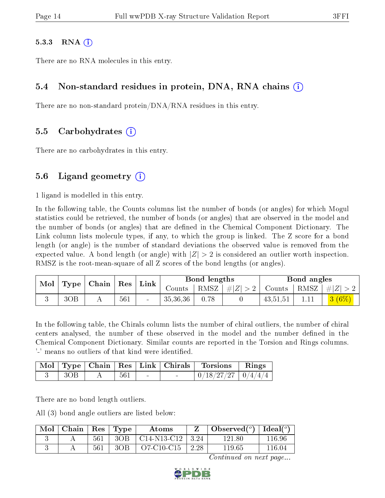#### $5.3.3$  RNA  $(i)$

There are no RNA molecules in this entry.

#### 5.4 Non-standard residues in protein, DNA, RNA chains (i)

There are no non-standard protein/DNA/RNA residues in this entry.

#### 5.5 Carbohydrates (i)

There are no carbohydrates in this entry.

### 5.6 Ligand geometry  $(i)$

1 ligand is modelled in this entry.

In the following table, the Counts columns list the number of bonds (or angles) for which Mogul statistics could be retrieved, the number of bonds (or angles) that are observed in the model and the number of bonds (or angles) that are defined in the Chemical Component Dictionary. The Link column lists molecule types, if any, to which the group is linked. The Z score for a bond length (or angle) is the number of standard deviations the observed value is removed from the expected value. A bond length (or angle) with  $|Z| > 2$  is considered an outlier worth inspection. RMSZ is the root-mean-square of all Z scores of the bond lengths (or angles).

| Mol<br>Type |     | $\mid$ Chain $\mid$ Res |     | Link | Bond lengths |      | Bond angles |               |  |          |
|-------------|-----|-------------------------|-----|------|--------------|------|-------------|---------------|--|----------|
|             |     |                         |     |      | Counts       | RMSZ | #Z  > 2     | Counts   RMSZ |  | #Z  > 2  |
|             | 3OB |                         | 561 |      | 35,36,36     |      |             | 43,51,51      |  | $3(6\%)$ |

In the following table, the Chirals column lists the number of chiral outliers, the number of chiral centers analysed, the number of these observed in the model and the number defined in the Chemical Component Dictionary. Similar counts are reported in the Torsion and Rings columns. '-' means no outliers of that kind were identified.

|      |     |        | Mol   Type   Chain   Res   Link   Chirals   Torsions   Rings |  |
|------|-----|--------|--------------------------------------------------------------|--|
| –30B | 561 | $\sim$ | $0/18/27/27$   $0/4/4/4$                                     |  |

There are no bond length outliers.

All (3) bond angle outliers are listed below:

| $\bf{Mol}_\perp$ | $\vert$ Chain $\vert$ Res $\vert$ Type |     |       | Atoms                     |                    | Observed( $^{\circ}$ )   Ideal( $^{\circ}$ ) |        |
|------------------|----------------------------------------|-----|-------|---------------------------|--------------------|----------------------------------------------|--------|
|                  |                                        | 561 | $3OB$ | $\mid$ C14-N13-C12 $\mid$ | $\vert 3.24 \vert$ | 121.80.                                      | 116.96 |
|                  |                                        | 561 | 3OB   | $O7-C10-C15$              | 2.28               | 119 65                                       | 116 04 |

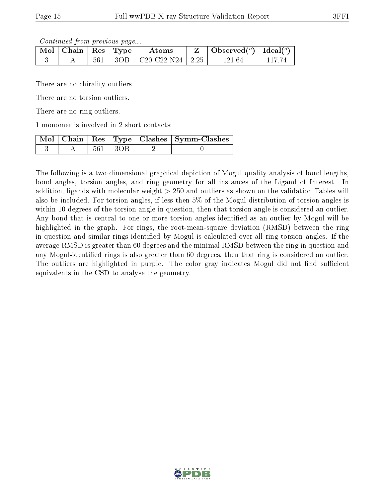Continued from previous page...

| $\blacksquare$ Mol $\vert$ Chain $\vert$ Res $\vert$ Type $\vert$ |  | Atoms                            | Observed( $^{\circ}$ )   Ideal( $^{\circ}$ ) |          |
|-------------------------------------------------------------------|--|----------------------------------|----------------------------------------------|----------|
|                                                                   |  | $561$   3OB   C20-C22-N24   2.25 | 121 64                                       | - FI 7-7 |

There are no chirality outliers.

There are no torsion outliers.

There are no ring outliers.

1 monomer is involved in 2 short contacts:

|  |           | Mol   Chain   Res   Type   Clashes   Symm-Clashes |
|--|-----------|---------------------------------------------------|
|  | 561 1 3OB |                                                   |

The following is a two-dimensional graphical depiction of Mogul quality analysis of bond lengths, bond angles, torsion angles, and ring geometry for all instances of the Ligand of Interest. In addition, ligands with molecular weight > 250 and outliers as shown on the validation Tables will also be included. For torsion angles, if less then 5% of the Mogul distribution of torsion angles is within 10 degrees of the torsion angle in question, then that torsion angle is considered an outlier. Any bond that is central to one or more torsion angles identified as an outlier by Mogul will be highlighted in the graph. For rings, the root-mean-square deviation (RMSD) between the ring in question and similar rings identified by Mogul is calculated over all ring torsion angles. If the average RMSD is greater than 60 degrees and the minimal RMSD between the ring in question and any Mogul-identified rings is also greater than 60 degrees, then that ring is considered an outlier. The outliers are highlighted in purple. The color gray indicates Mogul did not find sufficient equivalents in the CSD to analyse the geometry.

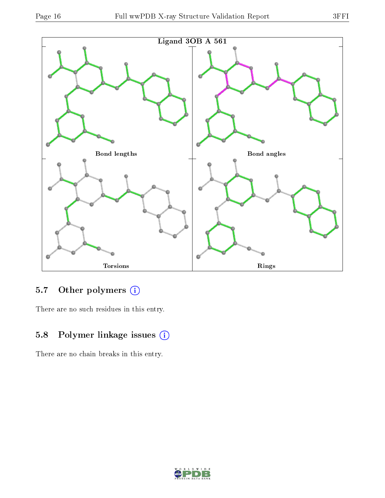

### 5.7 [O](https://www.wwpdb.org/validation/2017/XrayValidationReportHelp#nonstandard_residues_and_ligands)ther polymers (i)

There are no such residues in this entry.

### 5.8 Polymer linkage issues (i)

There are no chain breaks in this entry.

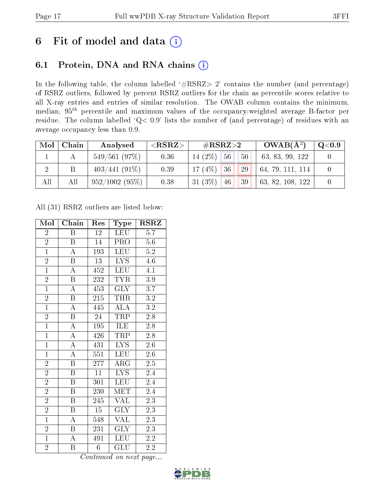## 6 Fit of model and data  $(i)$

## 6.1 Protein, DNA and RNA chains  $(i)$

In the following table, the column labelled  $#RSRZ> 2'$  contains the number (and percentage) of RSRZ outliers, followed by percent RSRZ outliers for the chain as percentile scores relative to all X-ray entries and entries of similar resolution. The OWAB column contains the minimum, median,  $95<sup>th</sup>$  percentile and maximum values of the occupancy-weighted average B-factor per residue. The column labelled ' $Q< 0.9$ ' lists the number of (and percentage) of residues with an average occupancy less than 0.9.

| Mol            | Chain | Analysed        | ${ <\hspace{-1.5pt}{\mathrm{RSRZ}} \hspace{-1.5pt}>}$ | $\#\text{RSRZ}\text{>2}$ |    | $OWAB(A^2)$      | $\rm Q\textcolor{black}{<}0.9$ |
|----------------|-------|-----------------|-------------------------------------------------------|--------------------------|----|------------------|--------------------------------|
|                |       | 549/561(97%)    | 0.36                                                  | 14 (2\%) $\sqrt{56}$     | 50 | 63, 83, 99, 122  |                                |
| $\overline{2}$ |       | $403/441(91\%)$ | 0.39                                                  | $17(4\%)$ 36             | 29 | 64, 79, 111, 114 |                                |
| All            | All   | 952/1002(95%)   | 0.38                                                  | 31 $(3\%)$<br>46         | 39 | 63, 82, 108, 122 |                                |

All (31) RSRZ outliers are listed below:

| Mol            | Chain                   | Res              | Type                    | $\rm RSRZ$       |
|----------------|-------------------------|------------------|-------------------------|------------------|
| $\overline{2}$ | Β                       | 12               | <b>LEU</b>              | 5.7              |
| $\overline{2}$ | B                       | 14               | <b>PRO</b>              | $5.6\,$          |
| $\overline{1}$ | $\overline{\rm A}$      | 193              | <b>LEU</b>              | 5.2              |
| $\overline{2}$ | $\boldsymbol{B}$        | 13               | <b>LYS</b>              | $4.\overline{6}$ |
| $\overline{1}$ | $\overline{\rm A}$      | 452              | <b>LEU</b>              | $\overline{4.1}$ |
| $\overline{2}$ | $\boldsymbol{B}$        | 232              | <b>TYR</b>              | $3.9\,$          |
| $\overline{1}$ | $\overline{\rm A}$      | 453              | <b>GLY</b>              | 3.7              |
| $\overline{2}$ | $\overline{\mathbf{B}}$ | 215              | <b>THR</b>              | $3.2\,$          |
| $\overline{1}$ | $\overline{\rm A}$      | 445              | <b>ALA</b>              | 3.2              |
| $\overline{2}$ | $\overline{\mathrm{B}}$ | $24\,$           | <b>TRP</b>              | $2.\overline{8}$ |
| $\overline{1}$ | $\overline{\rm A}$      | 195              | ILE                     | 2.8              |
| $\overline{1}$ | $\overline{\rm A}$      | 426              | <b>TRP</b>              | $2.8\,$          |
| $\overline{1}$ | $\overline{\rm A}$      | 431              | $\overline{\text{LYS}}$ | 2.6              |
| $\overline{1}$ | $\overline{\rm A}$      | 551              | <b>LEU</b>              | $2.6\,$          |
| $\overline{2}$ | $\overline{\mathrm{B}}$ | 277              | $\overline{\text{ARG}}$ | 2.5              |
| $\overline{2}$ | $\boldsymbol{B}$        | $\overline{11}$  | $\overline{\text{LYS}}$ | 2.4              |
| $\overline{2}$ | $\overline{\mathrm{B}}$ | $\overline{301}$ | <b>LEU</b>              | $2.\overline{4}$ |
| $\overline{2}$ | $\boldsymbol{B}$        | 230              | <b>MET</b>              | 2.4              |
| $\overline{2}$ | $\overline{\mathrm{B}}$ | 245              | <b>VAL</b>              | $\overline{2.3}$ |
| $\frac{2}{1}$  | B                       | $\overline{15}$  | $\overline{\text{GLY}}$ | $\overline{2.3}$ |
|                | $\overline{\rm A}$      | 548              | $\overline{\text{VAL}}$ | 2.3              |
| $\overline{2}$ | B                       | 231              | <b>GLY</b>              | 2.3              |
| $\mathbf{1}$   | A                       | 491              | <b>LEU</b>              | 2.2              |
| $\overline{2}$ | B                       | $\overline{6}$   | GLU                     | 2.2              |

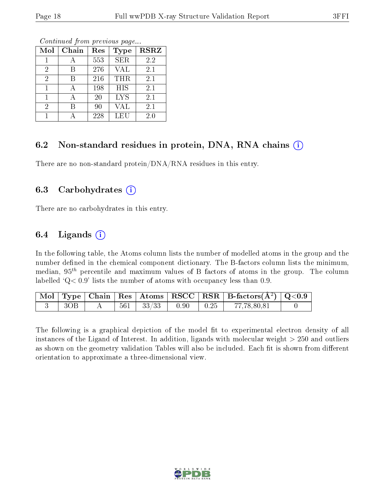| Mol            | Chain | Res | <b>Type</b> | <b>RSRZ</b> |
|----------------|-------|-----|-------------|-------------|
|                |       | 553 | <b>SER</b>  | 2.2         |
| $\overline{2}$ | В     | 276 | <b>VAL</b>  | 2.1         |
| $\overline{2}$ | В     | 216 | THR         | 2.1         |
|                |       | 198 | <b>HIS</b>  | 2.1         |
|                |       | 20  | <b>LYS</b>  | 2.1         |
| $\overline{2}$ | В     | 90  | VAL         | 2.1         |
|                |       | 228 | LEU         | 2.0         |

Continued from previous page...

### 6.2 Non-standard residues in protein, DNA, RNA chains  $(i)$

There are no non-standard protein/DNA/RNA residues in this entry.

#### 6.3 Carbohydrates  $(i)$

There are no carbohydrates in this entry.

### 6.4 Ligands  $(i)$

In the following table, the Atoms column lists the number of modelled atoms in the group and the number defined in the chemical component dictionary. The B-factors column lists the minimum, median,  $95<sup>th</sup>$  percentile and maximum values of B factors of atoms in the group. The column labelled  $Q < 0.9$ ' lists the number of atoms with occupancy less than 0.9.

|     |  |                        |                                                                 | $\boxed{\text{ Mol}}$ Type   Chain   Res   Atoms   RSCC   RSR   B-factors $(\AA^2)$   Q<0.9 |  |
|-----|--|------------------------|-----------------------------------------------------------------|---------------------------------------------------------------------------------------------|--|
| 3OB |  | $561$   $33/33$   0.90 | $\begin{array}{ c c c c c c } \hline 0.25 & \hline \end{array}$ | 77,78,80,81                                                                                 |  |

The following is a graphical depiction of the model fit to experimental electron density of all instances of the Ligand of Interest. In addition, ligands with molecular weight  $> 250$  and outliers as shown on the geometry validation Tables will also be included. Each fit is shown from different orientation to approximate a three-dimensional view.